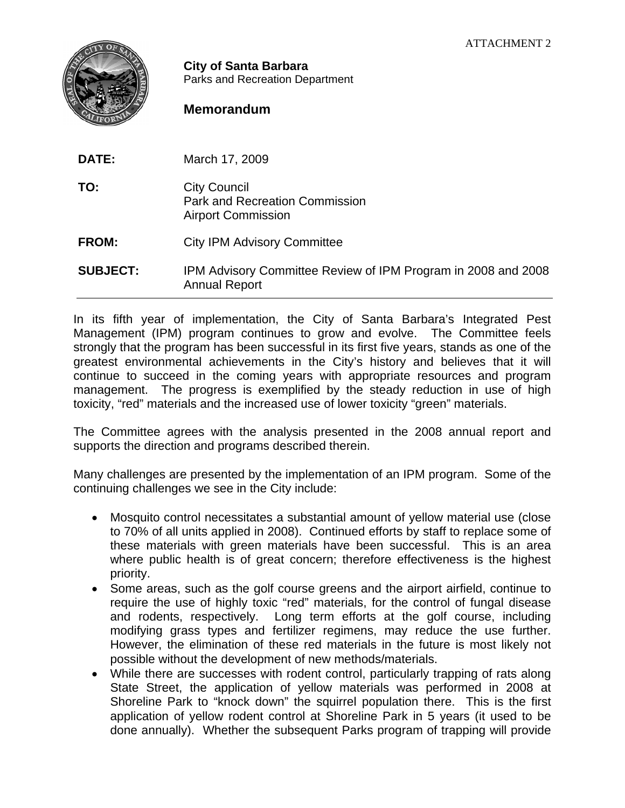

**City of Santa Barbara** Parks and Recreation Department

## **Memorandum**

| DATE:           | March 17, 2009                                                                            |
|-----------------|-------------------------------------------------------------------------------------------|
| TO:             | <b>City Council</b><br><b>Park and Recreation Commission</b><br><b>Airport Commission</b> |
| <b>FROM:</b>    | <b>City IPM Advisory Committee</b>                                                        |
| <b>SUBJECT:</b> | IPM Advisory Committee Review of IPM Program in 2008 and 2008<br><b>Annual Report</b>     |

In its fifth year of implementation, the City of Santa Barbara's Integrated Pest Management (IPM) program continues to grow and evolve. The Committee feels strongly that the program has been successful in its first five years, stands as one of the greatest environmental achievements in the City's history and believes that it will continue to succeed in the coming years with appropriate resources and program management. The progress is exemplified by the steady reduction in use of high toxicity, "red" materials and the increased use of lower toxicity "green" materials.

The Committee agrees with the analysis presented in the 2008 annual report and supports the direction and programs described therein.

Many challenges are presented by the implementation of an IPM program. Some of the continuing challenges we see in the City include:

- Mosquito control necessitates a substantial amount of yellow material use (close to 70% of all units applied in 2008). Continued efforts by staff to replace some of these materials with green materials have been successful. This is an area where public health is of great concern; therefore effectiveness is the highest priority.
- Some areas, such as the golf course greens and the airport airfield, continue to require the use of highly toxic "red" materials, for the control of fungal disease and rodents, respectively. Long term efforts at the golf course, including modifying grass types and fertilizer regimens, may reduce the use further. However, the elimination of these red materials in the future is most likely not possible without the development of new methods/materials.
- While there are successes with rodent control, particularly trapping of rats along State Street, the application of yellow materials was performed in 2008 at Shoreline Park to "knock down" the squirrel population there. This is the first application of yellow rodent control at Shoreline Park in 5 years (it used to be done annually). Whether the subsequent Parks program of trapping will provide